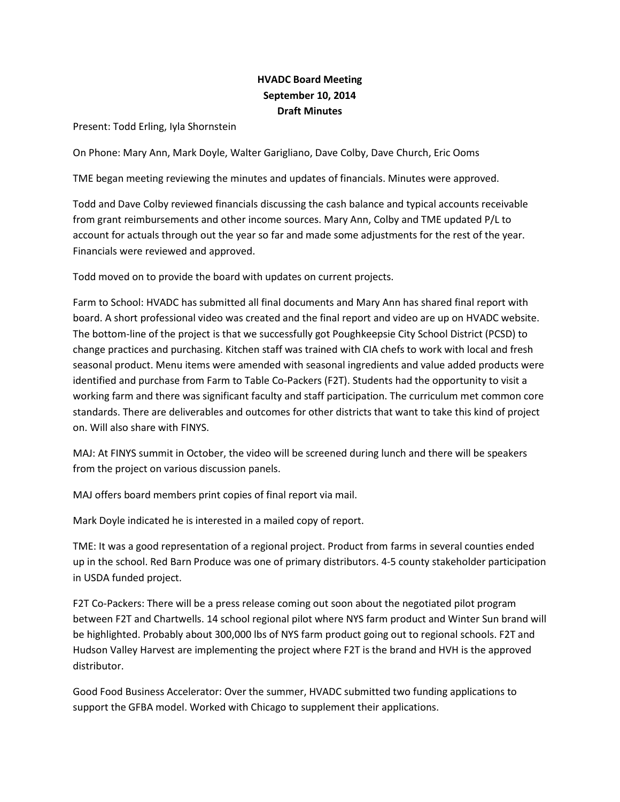## **HVADC Board Meeting September 10, 2014 Draft Minutes**

Present: Todd Erling, Iyla Shornstein

On Phone: Mary Ann, Mark Doyle, Walter Garigliano, Dave Colby, Dave Church, Eric Ooms

TME began meeting reviewing the minutes and updates of financials. Minutes were approved.

Todd and Dave Colby reviewed financials discussing the cash balance and typical accounts receivable from grant reimbursements and other income sources. Mary Ann, Colby and TME updated P/L to account for actuals through out the year so far and made some adjustments for the rest of the year. Financials were reviewed and approved.

Todd moved on to provide the board with updates on current projects.

Farm to School: HVADC has submitted all final documents and Mary Ann has shared final report with board. A short professional video was created and the final report and video are up on HVADC website. The bottom-line of the project is that we successfully got Poughkeepsie City School District (PCSD) to change practices and purchasing. Kitchen staff was trained with CIA chefs to work with local and fresh seasonal product. Menu items were amended with seasonal ingredients and value added products were identified and purchase from Farm to Table Co-Packers (F2T). Students had the opportunity to visit a working farm and there was significant faculty and staff participation. The curriculum met common core standards. There are deliverables and outcomes for other districts that want to take this kind of project on. Will also share with FINYS.

MAJ: At FINYS summit in October, the video will be screened during lunch and there will be speakers from the project on various discussion panels.

MAJ offers board members print copies of final report via mail.

Mark Doyle indicated he is interested in a mailed copy of report.

TME: It was a good representation of a regional project. Product from farms in several counties ended up in the school. Red Barn Produce was one of primary distributors. 4-5 county stakeholder participation in USDA funded project.

F2T Co-Packers: There will be a press release coming out soon about the negotiated pilot program between F2T and Chartwells. 14 school regional pilot where NYS farm product and Winter Sun brand will be highlighted. Probably about 300,000 lbs of NYS farm product going out to regional schools. F2T and Hudson Valley Harvest are implementing the project where F2T is the brand and HVH is the approved distributor.

Good Food Business Accelerator: Over the summer, HVADC submitted two funding applications to support the GFBA model. Worked with Chicago to supplement their applications.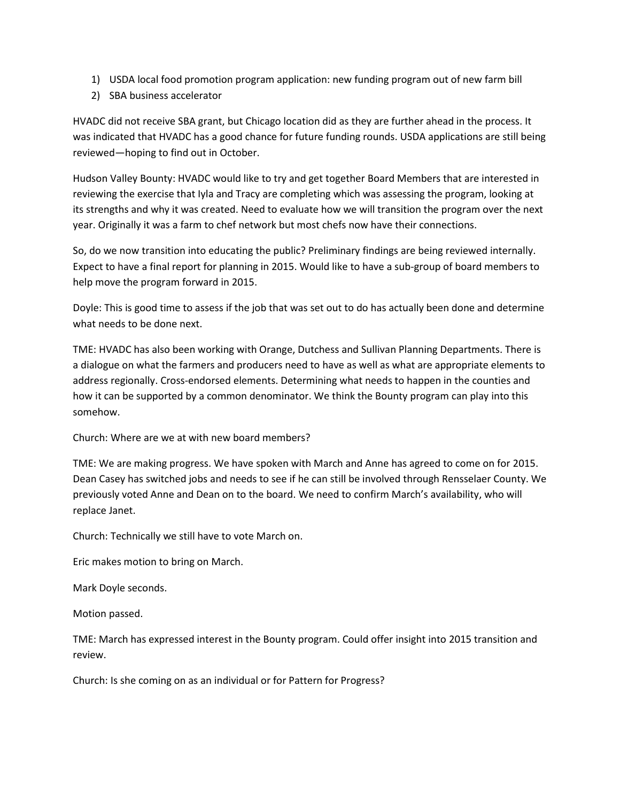- 1) USDA local food promotion program application: new funding program out of new farm bill
- 2) SBA business accelerator

HVADC did not receive SBA grant, but Chicago location did as they are further ahead in the process. It was indicated that HVADC has a good chance for future funding rounds. USDA applications are still being reviewed—hoping to find out in October.

Hudson Valley Bounty: HVADC would like to try and get together Board Members that are interested in reviewing the exercise that Iyla and Tracy are completing which was assessing the program, looking at its strengths and why it was created. Need to evaluate how we will transition the program over the next year. Originally it was a farm to chef network but most chefs now have their connections.

So, do we now transition into educating the public? Preliminary findings are being reviewed internally. Expect to have a final report for planning in 2015. Would like to have a sub-group of board members to help move the program forward in 2015.

Doyle: This is good time to assess if the job that was set out to do has actually been done and determine what needs to be done next.

TME: HVADC has also been working with Orange, Dutchess and Sullivan Planning Departments. There is a dialogue on what the farmers and producers need to have as well as what are appropriate elements to address regionally. Cross-endorsed elements. Determining what needs to happen in the counties and how it can be supported by a common denominator. We think the Bounty program can play into this somehow.

Church: Where are we at with new board members?

TME: We are making progress. We have spoken with March and Anne has agreed to come on for 2015. Dean Casey has switched jobs and needs to see if he can still be involved through Rensselaer County. We previously voted Anne and Dean on to the board. We need to confirm March's availability, who will replace Janet.

Church: Technically we still have to vote March on.

Eric makes motion to bring on March.

Mark Doyle seconds.

Motion passed.

TME: March has expressed interest in the Bounty program. Could offer insight into 2015 transition and review.

Church: Is she coming on as an individual or for Pattern for Progress?